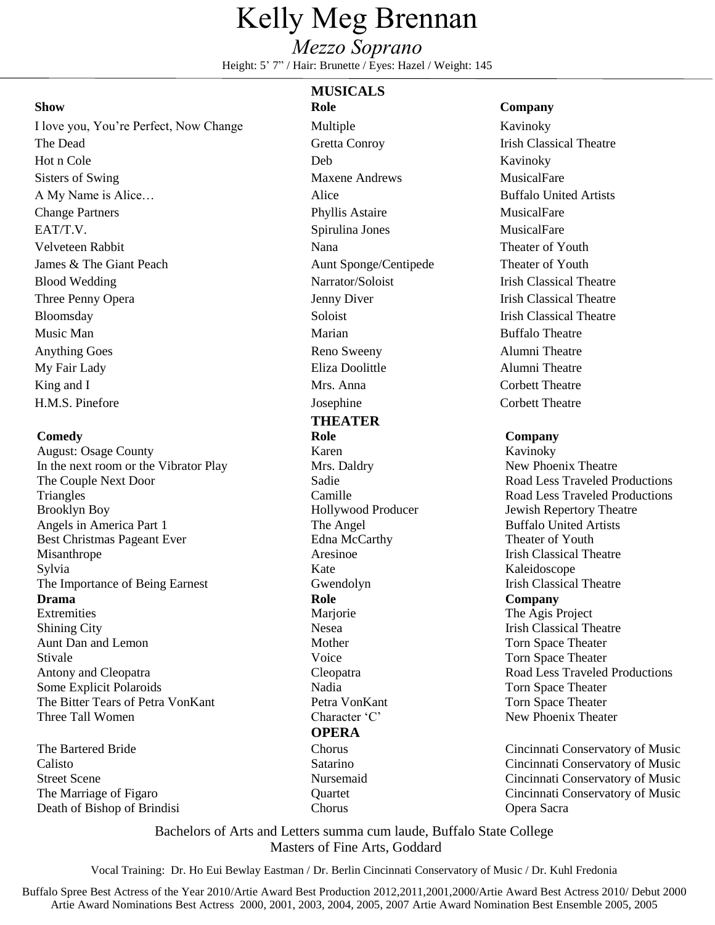# Kelly Meg Brennan

## *Mezzo Soprano*

Height: 5' 7" / Hair: Brunette / Eyes: Hazel / Weight: 145

I love you, You're Perfect, Now Change Multiple Multiple Kavinoky The Dead Gretta Conroy Irish Classical Theatre Hot n Cole Kavinoky Sisters of Swing Maxene Andrews MusicalFare MusicalFare A My Name is Alice... Alice and Alice and Artists Buffalo United Artists Change Partners **Phyllis Astaire** Phyllis Astaire MusicalFare EAT/T.V. Spirulina Jones MusicalFare Velveteen Rabbit **Nana** Nana Theater of Youth James & The Giant Peach Aunt Sponge/Centipede Theater of Youth Blood Wedding Theatre Narrator/Soloist Trish Classical Theatre Three Penny Opera **Three Penny Opera** Jenny Diver **Irish Classical Theatre** Bloomsday Soloist Soloist Irish Classical Theatre Music Man **Music Man Marian** Marian **Marian** Buffalo Theatre Anything Goes **Reno Sweeny** Reno Sweeny Alumni Theatre My Fair Lady **Eliza Doolittle** Alumni Theatre King and I Mrs. Anna Corbett Theatre

August: Osage County **Karen** Karen Kavinoky Kavinoky Kavinoky Kavinoky Kavinoky Kavinoky Kavinoky Kavinoky Kavinoky Kavinoky Kavinoky Kavinoky Kavinoky Kavinoky Kavinoky Kavinoky Kavinoky Kavinoky Kavinoky Kavinoky Kavinok In the next room or the Vibrator Play Mrs. Daldry Mrs. Daldry New Phoenix Theatre The Couple Next Door Sadie Road Less Traveled Pr Triangles Camille Camille Road Less Traveled Productions<br>Brooklyn Boy Hollywood Producer Jewish Repertory Theatre Brooklyn Boy **Hollywood Producer** Jewish Repertory Theatre Angels in America Part 1 The Angel The Angel Buffalo United Artists Best Christmas Pageant Ever Edna McCarthy Edna McCarthy Theater of Youth Misanthrope **Aresinoe** Aresinoe **Irish Classical Theatre** Sylvia Kate Kaleidoscope Kate Kaleidoscope The Importance of Being Earnest Gwendolyn Irish Classical Theatre **Drama Role Company** Extremities Marjorie Mariorie The Agis Project Shining City **Shining City** Nesea Irish Classical Theatre Aunt Dan and Lemon Mother Mother Torn Space Theater Stivale Stivale Stivale Stivale Stivale Stivale Stivale Stivale Stivale Stivale Stivale Stivale Stivale Stivale Stivale Stivale Stivale Stivale Stivale Stivale Stivale Stivale Stivale Stivale Stivale Stivale Stivale Stival Antony and Cleopatra **Cleopatra** Cleopatra Cleopatra Road Less Traveled Productions Some Explicit Polaroids **Nadia** Nadia Torn Space Theater The Bitter Tears of Petra VonKant Petra VonKant Torn Space Theater Three Tall Women Character 'C' New Phoenix Theater

The Marriage of Figaro Death of Bishop of Brindisi

### **MUSICALS**

H.M.S. Pinefore Josephine Corbett Theatre **THEATER Comedy Role Company OPERA Ouartet** 

### **Show Role Company**

Sadie Road Less Traveled Productions<br>
Camille Road Less Traveled Productions

The Bartered Bride Chorus Cincinnati Conservatory of Music Calisto Satarino Cincinnati Conservatory of Music Street Scene Nursemaid Cincinnati Conservatory of Music Cincinnati Conservatory of Music Opera Sacra

> Bachelors of Arts and Letters summa cum laude, Buffalo State College Masters of Fine Arts, Goddard

Chorus

Vocal Training: Dr. Ho Eui Bewlay Eastman / Dr. Berlin Cincinnati Conservatory of Music / Dr. Kuhl Fredonia

Buffalo Spree Best Actress of the Year 2010/Artie Award Best Production 2012,2011,2001,2000/Artie Award Best Actress 2010/ Debut 2000 Artie Award Nominations Best Actress 2000, 2001, 2003, 2004, 2005, 2007 Artie Award Nomination Best Ensemble 2005, 2005